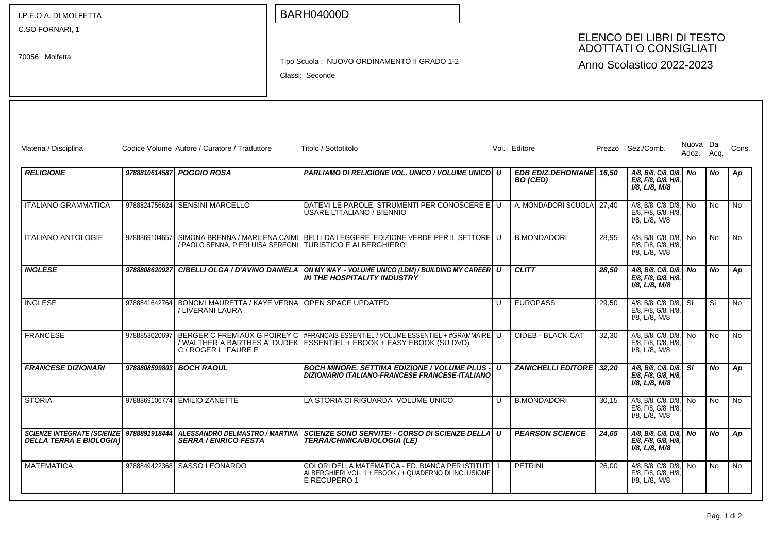| I.P.E.O.A. DI MOLFETTA                                        |               |                                                                      | <b>BARH04000D</b>                                                                                                              |   |                                             |                                                            |                                                                        |            |           |           |  |
|---------------------------------------------------------------|---------------|----------------------------------------------------------------------|--------------------------------------------------------------------------------------------------------------------------------|---|---------------------------------------------|------------------------------------------------------------|------------------------------------------------------------------------|------------|-----------|-----------|--|
| C.SO FORNARI, 1<br>70056 Molfetta                             |               |                                                                      |                                                                                                                                |   |                                             | ELENCO DEI LIBRI DI TESTO<br><b>ADOTTATI O CONSIGLIATI</b> |                                                                        |            |           |           |  |
|                                                               |               |                                                                      | Tipo Scuola: NUOVO ORDINAMENTO II GRADO 1-2<br>Anno Scolastico 2022-2023<br>Classi: Seconde                                    |   |                                             |                                                            |                                                                        |            |           |           |  |
| Materia / Disciplina                                          |               | Codice Volume Autore / Curatore / Traduttore                         | Titolo / Sottotitolo                                                                                                           |   | Vol. Editore                                |                                                            | Prezzo Sez./Comb.                                                      | Nuova Da   |           | Cons.     |  |
|                                                               |               |                                                                      |                                                                                                                                |   |                                             |                                                            |                                                                        | Adoz. Acq. |           |           |  |
| <b>RELIGIONE</b>                                              |               | 9788810614587 POGGIO ROSA                                            | PARLIAMO DI RELIGIONE VOL. UNICO / VOLUME UNICO   U                                                                            |   | EDB EDIZ.DEHONIANE 16,50<br><b>BO</b> (CED) |                                                            | $A/8$ , B/8, C/8, D/8, No<br>E/8, F/8, G/8, H/8,<br>I/8, L/8, M/8      |            | No        | Ap        |  |
| <b>ITALIANO GRAMMATICA</b>                                    |               | 9788824756624 SENSINI MARCELLO                                       | DATEMI LE PAROLE. STRUMENTI PER CONOSCERE E U<br>USARE L'ITALIANO / BIENNIO                                                    |   | A. MONDADORI SCUOLA 27.40                   |                                                            | A/8, B/8, C/8, D/8, No<br>E/8, F/8, G/8, H/8,<br>I/8, L/8, M/8         |            | <b>No</b> | <b>No</b> |  |
| <b>ITALIANO ANTOLOGIE</b>                                     | 9788869104657 | SIMONA BRENNA / MARILENA CAIMI                                       | BELLI DA LEGGERE. EDIZIONE VERDE PER IL SETTORE U<br>/ PAOLO SENNA, PIERLUISA SEREGNI TURISTICO E ALBERGHIERO                  |   | <b>B.MONDADORI</b>                          | 28,95                                                      | A/8, B/8, C/8, D/8, No<br>E/8, F/8, G/8, H/8,<br>$I/8$ , $L/8$ , M/8   |            | <b>No</b> | <b>No</b> |  |
| <b>INGLESE</b>                                                | 9788808620927 | <b>CIBELLI OLGA / D'AVINO DANIELA</b>                                | ON MY WAY - VOLUME UNICO (LDM) / BUILDING MY CAREER U<br>IN THE HOSPITALITY INDUSTRY                                           |   | <b>CLITT</b>                                | 28,50                                                      | A/8, B/8, C/8, D/8, No<br>E/8, F/8, G/8, H/8,<br>$I/8$ , $L/8$ , $M/8$ |            | No.       | Ap        |  |
| <b>INGLESE</b>                                                | 9788841642764 | BONOMI MAURETTA / KAYE VERNA<br>/ LIVERANI LAURA                     | OPEN SPACE UPDATED                                                                                                             | U | <b>EUROPASS</b>                             | 29,50                                                      | A/8, B/8, C/8, D/8, Si<br>E/8, F/8, G/8, H/8,<br>$I/8$ , $L/8$ , M/8   |            | Si        | No        |  |
| <b>FRANCESE</b>                                               | 9788853020697 | BERGER C FREMIAUX G POIREY C<br>C / ROGER L FAURE E                  | #FRANÇAIS ESSENTIEL / VOLUME ESSENTIEL + #GRAMMAIRE U<br>/ WALTHER A BARTHES A DUDEK ESSEŃTIEL + EBOOK + EASY EBOOK (SU DVD)   |   | <b>CIDEB - BLACK CAT</b>                    | 32,30                                                      | A/8, B/8, C/8, D/8, No<br>E/8, F/8, G/8, H/8,<br>I/8, L/8, M/8         |            | <b>No</b> | <b>No</b> |  |
| <b>FRANCESE DIZIONARI</b>                                     | 9788808599803 | <b>BOCH RAOUL</b>                                                    | <b>BOCH MINORE. SETTIMA EDIZIONE / VOLUME PLUS - I</b><br>DIZIONARIO ITALIANO-FRANCESE FRANCESE-ITALIANO                       | U | <b>ZANICHELLI EDITORE</b>                   | 32,20                                                      | A/8, B/8, C/8, D/8, Si<br>E/8, F/8, G/8, H/8,<br>$I/8$ , $L/8$ , $M/8$ |            | No.       | Ap        |  |
| <b>STORIA</b>                                                 |               | 9788869106774 EMILIO ZANETTE                                         | LA STORIA CI RIGUARDA VOLUME UNICO                                                                                             | U | <b>B.MONDADORI</b>                          | 30,15                                                      | A/8, B/8, C/8, D/8, No<br>E/8, F/8, G/8, H/8,<br>$I/8$ , $L/8$ , M/8   |            | No        | <b>No</b> |  |
| <b>SCIENZE INTEGRATE (SCIENZE)</b><br>DELLA TERRA E BIOLOGIA) | 9788891918444 | <b>ALESSANDRO DELMASTRO / MARTINA</b><br><b>SERRA / ENRICO FESTA</b> | SCIENZE SONO SERVITE! - CORSO DI SCIENZE DELLA U<br><b>TERRA/CHIMICA/BIOLOGIA (LE)</b>                                         |   | <b>PEARSON SCIENCE</b>                      | 24,65                                                      | A/8, B/8, C/8, D/8, No<br>E/8, F/8, G/8, H/8,<br>I/8. L/8. M/8         |            | No.       | Ap        |  |
| MATEMATICA                                                    | 9788849422368 | SASSO LEONARDO                                                       | COLORI DELLA MATEMATICA - ED. BIANCA PER ISTITUTI   1<br>ALBERGHIERI VOL. 1 + EBOOK / + QUADERNO DI INCLUSIONE<br>E RECUPERO 1 |   | <b>PETRINI</b>                              | 26,00                                                      | A/8, B/8, C/8, D/8, No<br>E/8, F/8, G/8, H/8,<br>$I/8$ , $L/8$ , M/8   |            | No        | No        |  |